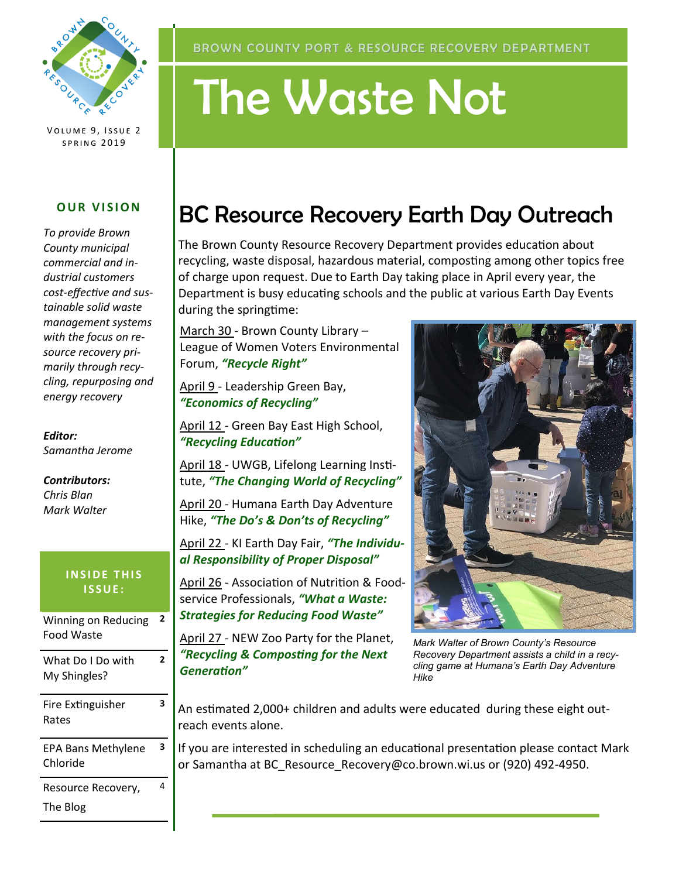

VOLUME 9, ISSUE 2 **SPRING 2019** 

#### **OUR VISION**

*To provide Brown County municipal commercial and industrial customers cost-effective and sustainable solid waste management systems with the focus on resource recovery primarily through recycling, repurposing and energy recovery*

*Editor: Samantha Jerome*

*Contributors: Chris Blan Mark Walter*

#### **INSIDE THIS I S S U E :**

| Winning on Reducing<br><b>Food Waste</b> | 2 |
|------------------------------------------|---|
| What Do I Do with<br>My Shingles?        | 7 |
| Fire Extinguisher<br>Rates               | 3 |
| <b>EPA Bans Methylene</b><br>Chloride    | з |
| Resource Recovery,<br>The Blog           | 4 |

# The Waste Not

# BC Resource Recovery Earth Day Outreach

The Brown County Resource Recovery Department provides education about recycling, waste disposal, hazardous material, composting among other topics free of charge upon request. Due to Earth Day taking place in April every year, the Department is busy educating schools and the public at various Earth Day Events during the springtime:

March 30 - Brown County Library – League of Women Voters Environmental Forum, *"Recycle Right"*

April 9 - Leadership Green Bay, *"Economics of Recycling"*

April 12 - Green Bay East High School, *"Recycling Education"*

April 18 - UWGB, Lifelong Learning Institute, *"The Changing World of Recycling"*

April 20 - Humana Earth Day Adventure Hike, *"The Do's & Don'ts of Recycling"*

April 22 - KI Earth Day Fair, *"The Individual Responsibility of Proper Disposal"*

April 26 - Association of Nutrition & Foodservice Professionals, *"What a Waste: Strategies for Reducing Food Waste"*

April 27 - NEW Zoo Party for the Planet, *"Recycling & Composting for the Next Generation"*



*Mark Walter of Brown County's Resource Recovery Department assists a child in a recycling game at Humana's Earth Day Adventure Hike*

An estimated 2,000+ children and adults were educated during these eight outreach events alone.

If you are interested in scheduling an educational presentation please contact Mark or Samantha at BC\_Resource\_Recovery@co.brown.wi.us or (920) 492-4950.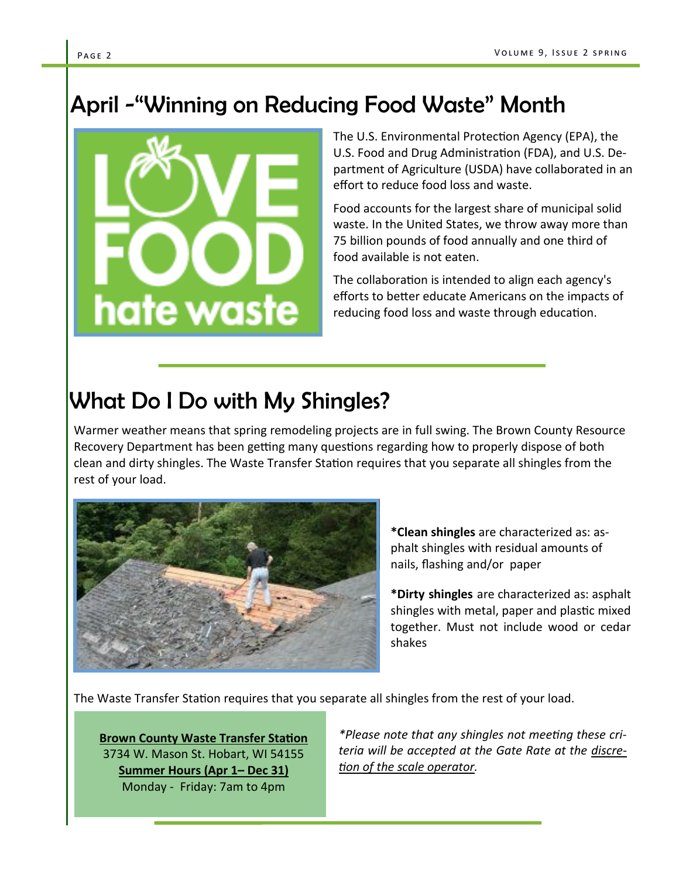## April -"Winning on Reducing Food Waste" Month



The U.S. Environmental Protection Agency (EPA), the U.S. Food and Drug Administration (FDA), and U.S. Department of Agriculture (USDA) have collaborated in an effort to reduce food loss and waste.

Food accounts for the largest share of municipal solid waste. In the United States, we throw away more than 75 billion pounds of food annually and one third of food available is not eaten.

The collaboration is intended to align each agency's efforts to better educate Americans on the impacts of reducing food loss and waste through education.

## What Do I Do with My Shingles?

Warmer weather means that spring remodeling projects are in full swing. The Brown County Resource Recovery Department has been getting many questions regarding how to properly dispose of both clean and dirty shingles. The Waste Transfer Station requires that you separate all shingles from the rest of your load.



**\*Clean shingles** are characterized as: asphalt shingles with residual amounts of nails, flashing and/or paper

**\*Dirty shingles** are characterized as: asphalt shingles with metal, paper and plastic mixed together. Must not include wood or cedar shakes

The Waste Transfer Station requires that you separate all shingles from the rest of your load.

**Brown County Waste Transfer Station** 3734 W. Mason St. Hobart, WI 54155 **Summer Hours (Apr 1– Dec 31)** Monday - Friday: 7am to 4pm

*\*Please note that any shingles not meeting these criteria will be accepted at the Gate Rate at the discretion of the scale operator.*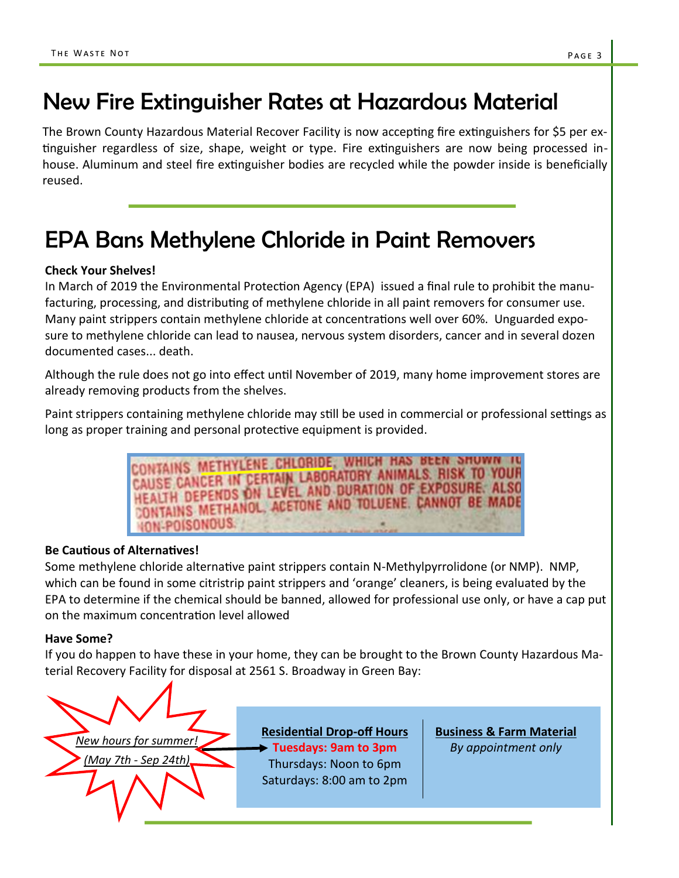## New Fire Extinguisher Rates at Hazardous Material

The Brown County Hazardous Material Recover Facility is now accepting fire extinguishers for \$5 per extinguisher regardless of size, shape, weight or type. Fire extinguishers are now being processed inhouse. Aluminum and steel fire extinguisher bodies are recycled while the powder inside is beneficially reused.

## EPA Bans Methylene Chloride in Paint Removers

#### **Check Your Shelves!**

In March of 2019 the Environmental Protection Agency (EPA) issued a final rule to prohibit the manufacturing, processing, and distributing of methylene chloride in all paint removers for consumer use. Many paint strippers contain methylene chloride at concentrations well over 60%. Unguarded exposure to methylene chloride can lead to nausea, nervous system disorders, cancer and in several dozen documented cases... death.

Although the rule does not go into effect until November of 2019, many home improvement stores are already removing products from the shelves.

Paint strippers containing methylene chloride may still be used in commercial or professional settings as long as proper training and personal protective equipment is provided.

> ONTAINS METHYLENE CHLORIDE, WHICH HAS BEEN SHOWN IN CONTAINS METHYLENE CHLUNDERATORY ANIMALS. RISK TO YOUR HEALTH DEPENDS ON LEVEL AND DURATION OF EXPOSURE. ALSO CONTAINS METHANOL, ACETONE AND TOLUENE. CANNOT BE MADE **ION-POISONOUS.**

#### **Be Cautious of Alternatives!**

Some methylene chloride alternative paint strippers contain N-Methylpyrrolidone (or NMP). NMP, which can be found in some citristrip paint strippers and 'orange' cleaners, is being evaluated by the EPA to determine if the chemical should be banned, allowed for professional use only, or have a cap put on the maximum concentration level allowed

#### **Have Some?**

If you do happen to have these in your home, they can be brought to the Brown County Hazardous Material Recovery Facility for disposal at 2561 S. Broadway in Green Bay:



**Residential Drop-off Hours Tuesdays: 9am to 3pm**  Thursdays: Noon to 6pm Saturdays: 8:00 am to 2pm

**Business & Farm Material** *By appointment only*